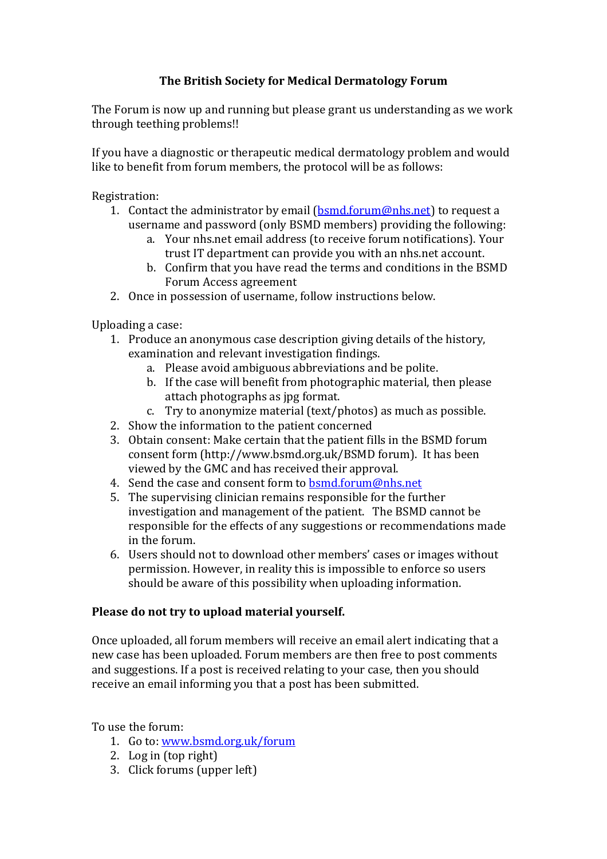## **The British Society for Medical Dermatology Forum**

The Forum is now up and running but please grant us understanding as we work through teething problems!!

If you have a diagnostic or therapeutic medical dermatology problem and would like to benefit from forum members, the protocol will be as follows:

Registration:

- 1. Contact the administrator by email  $(\underline{bsmd}.\underline{form@nhs.net})$  to request a username and password (only BSMD members) providing the following:
	- a. Your nhs.net email address (to receive forum notifications). Your trust IT department can provide you with an nhs.net account.
	- b. Confirm that you have read the terms and conditions in the BSMD Forum Access agreement
- 2. Once in possession of username, follow instructions below.

Uploading a case:

- 1. Produce an anonymous case description giving details of the history, examination and relevant investigation findings.
	- a. Please avoid ambiguous abbreviations and be polite.
	- b. If the case will benefit from photographic material, then please attach photographs as jpg format.
	- c. Try to anonymize material (text/photos) as much as possible.
- 2. Show the information to the patient concerned
- 3. Obtain consent: Make certain that the patient fills in the BSMD forum consent form (http://www.bsmd.org.uk/BSMD forum). It has been viewed by the GMC and has received their approval.
- 4. Send the case and consent form to **bsmd.forum@nhs.net**
- 5. The supervising clinician remains responsible for the further investigation and management of the patient. The BSMD cannot be responsible for the effects of any suggestions or recommendations made in the forum.
- 6. Users should not to download other members' cases or images without permission. However, in reality this is impossible to enforce so users should be aware of this possibility when uploading information.

## **Please do not try to upload material yourself.**

Once uploaded, all forum members will receive an email alert indicating that a new case has been uploaded. Forum members are then free to post comments and suggestions. If a post is received relating to your case, then you should receive an email informing you that a post has been submitted.

To use the forum:

- 1. Go to: [www.bsmd.org.uk/forum](http://www.bsmd.org.uk/forum)
- 2. Log in (top right)
- 3. Click forums (upper left)